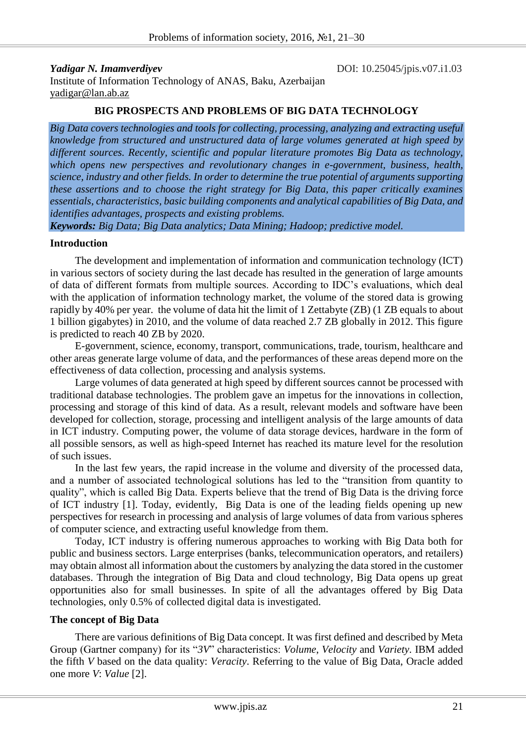*Yadigar N. Imamverdiyev* DOI: 10.25045/jpis.v07.i1.03 Institute of Information Technology of ANAS, Baku, Azerbaijan [yadigar@lan.ab.az](mailto:yadigar@lan.ab.az)

### **BIG PROSPECTS AND PROBLEMS OF BIG DATA TECHNOLOGY**

*Big Data covers technologies and tools for collecting, processing, analyzing and extracting useful knowledge from structured and unstructured data of large volumes generated at high speed by different sources. Recently, scientific and popular literature promotes Big Data as technology, which opens new perspectives and revolutionary changes in e-government, business, health, science, industry and other fields. In order to determine the true potential of arguments supporting these assertions and to choose the right strategy for Big Data, this paper critically examines essentials, characteristics, basic building components and analytical capabilities of Big Data, and identifies advantages, prospects and existing problems.* 

*Keywords: Big Data; Big Data analytics; Data Mining; Hadoop; predictive model.*

### **Introduction**

The development and implementation of information and communication technology (ICT) in various sectors of society during the last decade has resulted in the generation of large amounts of data of different formats from multiple sources. According to IDC's evaluations, which deal with the application of information technology market, the volume of the stored data is growing rapidly by 40% per year. the volume of data hit the limit of 1 Zettabyte (ZB) (1 ZB equals to about 1 billion gigabytes) in 2010, and the volume of data reached 2.7 ZB globally in 2012. This figure is predicted to reach 40 ZB by 2020.

E-government, science, economy, transport, communications, trade, tourism, healthcare and other areas generate large volume of data, and the performances of these areas depend more on the effectiveness of data collection, processing and analysis systems.

Large volumes of data generated at high speed by different sources cannot be processed with traditional database technologies. The problem gave an impetus for the innovations in collection, processing and storage of this kind of data. As a result, relevant models and software have been developed for collection, storage, processing and intelligent analysis of the large amounts of data in ICT industry. Computing power, the volume of data storage devices, hardware in the form of all possible sensors, as well as high-speed Internet has reached its mature level for the resolution of such issues.

In the last few years, the rapid increase in the volume and diversity of the processed data, and a number of associated technological solutions has led to the "transition from quantity to quality", which is called Big Data. Experts believe that the trend of Big Data is the driving force of ICT industry [1]. Today, evidently, Big Data is one of the leading fields opening up new perspectives for research in processing and analysis of large volumes of data from various spheres of computer science, and extracting useful knowledge from them.

Today, ICT industry is offering numerous approaches to working with Big Data both for public and business sectors. Large enterprises (banks, telecommunication operators, and retailers) may obtain almost all information about the customers by analyzing the data stored in the customer databases. Through the integration of Big Data and cloud technology, Big Data opens up great opportunities also for small businesses. In spite of all the advantages offered by Big Data technologies, only 0.5% of collected digital data is investigated.

### **The concept of Big Data**

There are various definitions of Big Data concept. It was first defined and described by Meta Group (Gartner company) for its "*3V*" characteristics: *Volume*, *Velocity* and *Variety*. IBM added the fifth *V* based on the data quality: *Veracity*. Referring to the value of Big Data, Oracle added one more *V*: *Value* [2].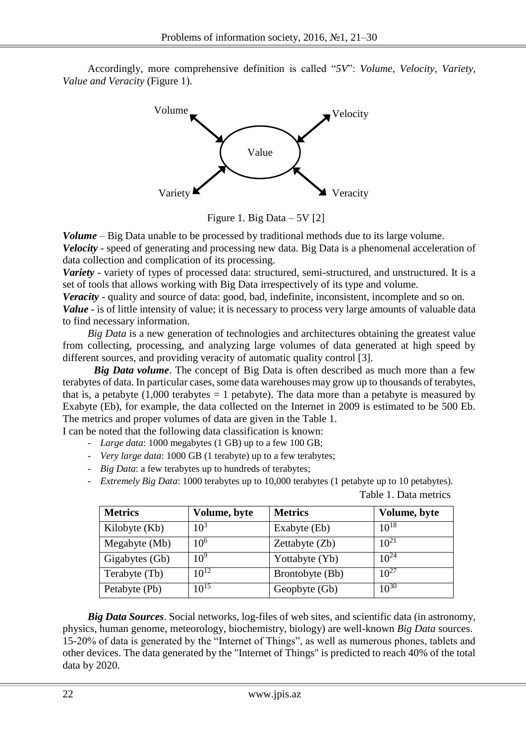Accordingly, more comprehensive definition is called "*5V*": *Volume, Velocity, Variety, Value and Veracity* (Figure 1).



Figure 1. Big Data – 5V [2]

*Volume* – Big Data unable to be processed by traditional methods due to its large volume. *Velocity* - speed of generating and processing new data. Big Data is a phenomenal acceleration of data collection and complication of its processing.

*Variety* - variety of types of processed data: structured, semi-structured, and unstructured. It is a set of tools that allows working with Big Data irrespectively of its type and volume.

*Veracity* - quality and source of data: good, bad, indefinite, inconsistent, incomplete and so on.

*Value* - is of little intensity of value; it is necessary to process very large amounts of valuable data to find necessary information.

*Big Data* is a new generation of technologies and architectures obtaining the greatest value from collecting, processing, and analyzing large volumes of data generated at high speed by different sources, and providing veracity of automatic quality control [3].

*Big Data volume*. The concept of Big Data is often described as much more than a few terabytes of data. In particular cases, some data warehouses may grow up to thousands of terabytes, that is, a petabyte  $(1,000$  terabytes = 1 petabyte). The data more than a petabyte is measured by Exabyte (Eb), for example, the data collected on the Internet in 2009 is estimated to be 500 Eb. The metrics and proper volumes of data are given in the Table 1.

I can be noted that the following data classification is known:

- *Large data*: 1000 megabytes (1 GB) up to a few 100 GB;
- *Very large data*: 1000 GB (1 terabyte) up to a few terabytes;
- *Big Data*: a few terabytes up to hundreds of terabytes;
- *Extremely Big Data*: 1000 terabytes up to 10,000 terabytes (1 petabyte up to 10 petabytes).

| <b>Metrics</b> | Volume, byte    | <b>Metrics</b>  | Volume, byte |
|----------------|-----------------|-----------------|--------------|
| Kilobyte (Kb)  | $10^3$          | Exabyte (Eb)    | $10^{18}$    |
| Megabyte (Mb)  | 10 <sup>6</sup> | Zettabyte (Zb)  | $10^{21}$    |
| Gigabytes (Gb) | 10 <sup>9</sup> | Yottabyte (Yb)  | $10^{24}$    |
| Terabyte (Tb)  | $10^{12}$       | Brontobyte (Bb) | $10^{27}$    |
| Petabyte (Pb)  | $10^{15}$       | Geopbyte (Gb)   | $10^{30}$    |

Table 1. Data metrics

*Big Data Sources*. Social networks, log-files of web sites, and scientific data (in astronomy, physics, human genome, meteorology, biochemistry, biology) are well-known *Big Data* sources. 15-20% of data is generated by the "Internet of Things", as well as numerous phones, tablets and other devices. The data generated by the "Internet of Things" is predicted to reach 40% of the total data by 2020.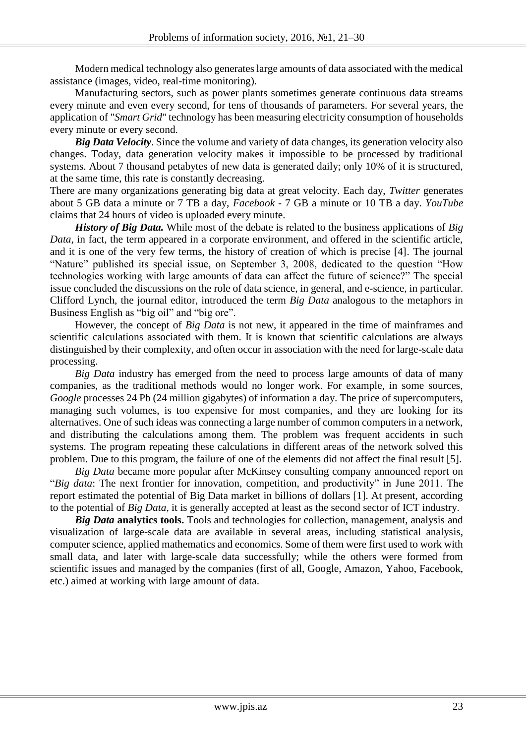Modern medical technology also generates large amounts of data associated with the medical assistance (images, video, real-time monitoring).

Manufacturing sectors, such as power plants sometimes generate continuous data streams every minute and even every second, for tens of thousands of parameters. For several years, the application of "*Smart Grid*" technology has been measuring electricity consumption of households every minute or every second.

*Big Data Velocity*. Since the volume and variety of data changes, its generation velocity also changes. Today, data generation velocity makes it impossible to be processed by traditional systems. About 7 thousand petabytes of new data is generated daily; only 10% of it is structured, at the same time, this rate is constantly decreasing.

There are many organizations generating big data at great velocity. Each day, *Twitter* generates about 5 GB data a minute or 7 TB a day, *Facebook* - 7 GB a minute or 10 TB a day. *YouTube* claims that 24 hours of video is uploaded every minute.

*History of Big Data.* While most of the debate is related to the business applications of *Big Data*, in fact, the term appeared in a corporate environment, and offered in the scientific article, and it is one of the very few terms, the history of creation of which is precise [4]. The journal "Nature" published its special issue, on September 3, 2008, dedicated to the question "How technologies working with large amounts of data can affect the future of science?" The special issue concluded the discussions on the role of data science, in general, and e-science, in particular. Clifford Lynch, the journal editor, introduced the term *Big Data* analogous to the metaphors in Business English as "big oil" and "big ore".

However, the concept of *Big Data* is not new, it appeared in the time of mainframes and scientific calculations associated with them. It is known that scientific calculations are always distinguished by their complexity, and often occur in association with the need for large-scale data processing.

*Big Data* industry has emerged from the need to process large amounts of data of many companies, as the traditional methods would no longer work. For example, in some sources, *Google* processes 24 Pb (24 million gigabytes) of information a day. The price of supercomputers, managing such volumes, is too expensive for most companies, and they are looking for its alternatives. One of such ideas was connecting a large number of common computers in a network, and distributing the calculations among them. The problem was frequent accidents in such systems. The program repeating these calculations in different areas of the network solved this problem. Due to this program, the failure of one of the elements did not affect the final result [5].

*Big Data* became more popular after McKinsey consulting company announced report on "*Big data*: The next frontier for innovation, competition, and productivity" in June 2011. The report estimated the potential of Big Data market in billions of dollars [1]. At present, according to the potential of *Big Data*, it is generally accepted at least as the second sector of ICT industry.

*Big Data* **analytics tools.** Tools and technologies for collection, management, analysis and visualization of large-scale data are available in several areas, including statistical analysis, computer science, applied mathematics and economics. Some of them were first used to work with small data, and later with large-scale data successfully; while the others were formed from scientific issues and managed by the companies (first of all, Google, Amazon, Yahoo, Facebook, etc.) aimed at working with large amount of data.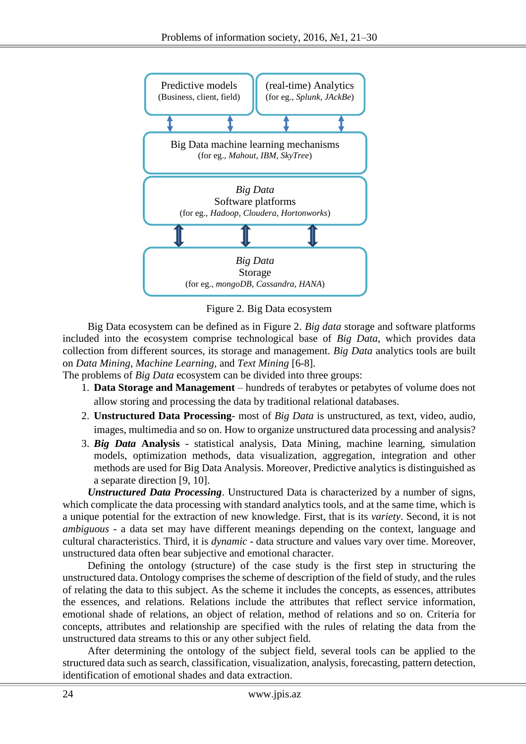

Figure 2. Big Data ecosystem

Big Data ecosystem can be defined as in Figure 2. *Big data* storage and software platforms included into the ecosystem comprise technological base of *Big Data*, which provides data collection from different sources, its storage and management. *Big Data* analytics tools are built on *Data Mining*, *Machine Learning,* and *Text Mining* [6-8].

The problems of *Big Data* ecosystem can be divided into three groups:

- 1. **Data Storage and Management** hundreds of terabytes or petabytes of volume does not allow storing and processing the data by traditional relational databases.
- 2. **Unstructured Data Processing** most of *Big Data* is unstructured, as text, video, audio, images, multimedia and so on. How to organize unstructured data processing and analysis?
- 3. *Big Data* **Analysis** statistical analysis, Data Mining, machine learning, simulation models, optimization methods, data visualization, aggregation, integration and other methods are used for Big Data Analysis. Moreover, Predictive analytics is distinguished as a separate direction [9, 10].

*Unstructured Data Processing*. Unstructured Data is characterized by a number of signs, which complicate the data processing with standard analytics tools, and at the same time, which is a unique potential for the extraction of new knowledge. First, that is its *variety*. Second, it is not *ambiguous* - a data set may have different meanings depending on the context, language and cultural characteristics. Third, it is *dynamic* - data structure and values vary over time. Moreover, unstructured data often bear subjective and emotional character.

Defining the ontology (structure) of the case study is the first step in structuring the unstructured data. Ontology comprises the scheme of description of the field of study, and the rules of relating the data to this subject. As the scheme it includes the concepts, as essences, attributes the essences, and relations. Relations include the attributes that reflect service information, emotional shade of relations, an object of relation, method of relations and so on. Criteria for concepts, attributes and relationship are specified with the rules of relating the data from the unstructured data streams to this or any other subject field.

After determining the ontology of the subject field, several tools can be applied to the structured data such as search, classification, visualization, analysis, forecasting, pattern detection, identification of emotional shades and data extraction.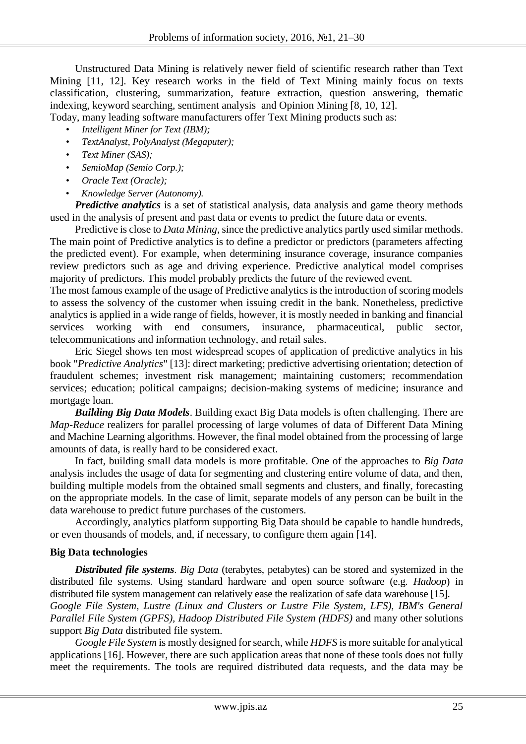Unstructured Data Mining is relatively newer field of scientific research rather than Text Mining [11, 12]. Key research works in the field of Text Mining mainly focus on texts classification, clustering, summarization, feature extraction, question answering, thematic indexing, keyword searching, sentiment analysis and Opinion Mining [8, 10, 12].

Today, many leading software manufacturers offer Text Mining products such as:

- *Intelligent Miner for Text (IBM);*
- *TextAnalyst, PolyAnalyst (Megaputer);*
- *Text Miner (SAS);*
- *SemioMap (Semio Corp.);*
- *Oracle Text (Oracle);*
- *Knowledge Server (Autonomy).*

*Predictive analytics* is a set of statistical analysis, data analysis and game theory methods used in the analysis of present and past data or events to predict the future data or events.

Predictive is close to *Data Mining*, since the predictive analytics partly used similar methods. The main point of Predictive analytics is to define a predictor or predictors (parameters affecting the predicted event). For example, when determining insurance coverage, insurance companies review predictors such as age and driving experience. Predictive analytical model comprises majority of predictors. This model probably predicts the future of the reviewed event.

The most famous example of the usage of Predictive analytics is the introduction of scoring models to assess the solvency of the customer when issuing credit in the bank. Nonetheless, predictive analytics is applied in a wide range of fields, however, it is mostly needed in banking and financial services working with end consumers, insurance, pharmaceutical, public sector, telecommunications and information technology, and retail sales.

Eric Siegel shows ten most widespread scopes of application of predictive analytics in his book "*Predictive Analytics*" [13]: direct marketing; predictive advertising orientation; detection of fraudulent schemes; investment risk management; maintaining customers; recommendation services; education; political campaigns; decision-making systems of medicine; insurance and mortgage loan.

*Building Big Data Models*. Building exact Big Data models is often challenging. There are *Map-Reduce* realizers for parallel processing of large volumes of data of Different Data Mining and Machine Learning algorithms. However, the final model obtained from the processing of large amounts of data, is really hard to be considered exact.

In fact, building small data models is more profitable. One of the approaches to *Big Data* analysis includes the usage of data for segmenting and clustering entire volume of data, and then, building multiple models from the obtained small segments and clusters, and finally, forecasting on the appropriate models. In the case of limit, separate models of any person can be built in the data warehouse to predict future purchases of the customers.

Accordingly, analytics platform supporting Big Data should be capable to handle hundreds, or even thousands of models, and, if necessary, to configure them again [14].

# **Big Data technologies**

*Distributed file systems*. *Big Data* (terabytes, petabytes) can be stored and systemized in the distributed file systems. Using standard hardware and open source software (e.g. *Hadoop*) in distributed file system management can relatively ease the realization of safe data warehouse [15].

*Google File System, Lustre (Linux and Clusters or Lustre File System, LFS), IBM's General Parallel File System (GPFS), Hadoop Distributed File System (HDFS)* and many other solutions support *Big Data* distributed file system.

*Google File System* is mostly designed for search, while *HDFS* is more suitable for analytical applications [16]. However, there are such application areas that none of these tools does not fully meet the requirements. The tools are required distributed data requests, and the data may be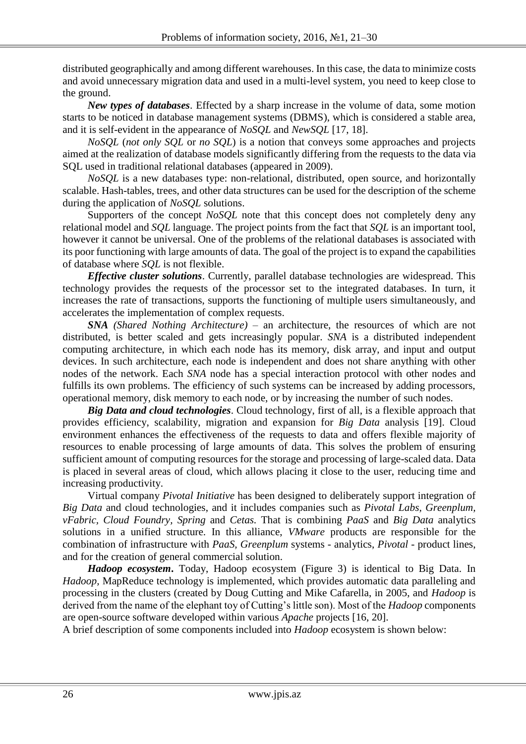distributed geographically and among different warehouses. In this case, the data to minimize costs and avoid unnecessary migration data and used in a multi-level system, you need to keep close to the ground.

*New types of databases*. Effected by a sharp increase in the volume of data, some motion starts to be noticed in database management systems (DBMS), which is considered a stable area, and it is self-evident in the appearance of *NoSQL* and *NewSQL* [17, 18].

*NoSQL* (*not only SQL* or *no SQL*) is a notion that conveys some approaches and projects aimed at the realization of database models significantly differing from the requests to the data via SQL used in traditional relational databases (appeared in 2009).

*NoSQL* is a new databases type: non-relational, distributed, open source, and horizontally scalable. Hash-tables, trees, and other data structures can be used for the description of the scheme during the application of *NoSQL* solutions.

Supporters of the concept *NoSQL* note that this concept does not completely deny any relational model and *SQL* language. The project points from the fact that *SQL* is an important tool, however it cannot be universal. One of the problems of the relational databases is associated with its poor functioning with large amounts of data. The goal of the project is to expand the capabilities of database where *SQL* is not flexible.

*Effective cluster solutions*. Currently, parallel database technologies are widespread. This technology provides the requests of the processor set to the integrated databases. In turn, it increases the rate of transactions, supports the functioning of multiple users simultaneously, and accelerates the implementation of complex requests.

*SNA (Shared Nothing Architecture)* – an architecture, the resources of which are not distributed, is better scaled and gets increasingly popular. *SNA* is a distributed independent computing architecture, in which each node has its memory, disk array, and input and output devices. In such architecture, each node is independent and does not share anything with other nodes of the network. Each *SNA* node has a special interaction protocol with other nodes and fulfills its own problems. The efficiency of such systems can be increased by adding processors, operational memory, disk memory to each node, or by increasing the number of such nodes.

*Big Data and cloud technologies*. Cloud technology, first of all, is a flexible approach that provides efficiency, scalability, migration and expansion for *Big Data* analysis [19]. Cloud environment enhances the effectiveness of the requests to data and offers flexible majority of resources to enable processing of large amounts of data. This solves the problem of ensuring sufficient amount of computing resources for the storage and processing of large-scaled data. Data is placed in several areas of cloud, which allows placing it close to the user, reducing time and increasing productivity.

Virtual company *Pivotal Initiative* has been designed to deliberately support integration of *Big Data* and cloud technologies, and it includes companies such as *Pivotal Labs, Greenplum, vFabric, Cloud Foundry, Spring* and *Cetas.* That is combining *PaaS* and *Big Data* analytics solutions in a unified structure. In this alliance, *VMware* products are responsible for the combination of infrastructure with *PaaS, Greenplum* systems - analytics, *Pivotal* - product lines, and for the creation of general commercial solution.

*Hadoop ecosystem***.** Today, Hadoop ecosystem (Figure 3) is identical to Big Data. In *Hadoop,* MapReduce technology is implemented, which provides automatic data paralleling and processing in the clusters (created by Doug Cutting and Mike Cafarella, in 2005, and *Hadoop* is derived from the name of the elephant toy of Cutting's little son). Most of the *Hadoop* components are open-source software developed within various *Apache* projects [16, 20].

A brief description of some components included into *Hadoop* ecosystem is shown below: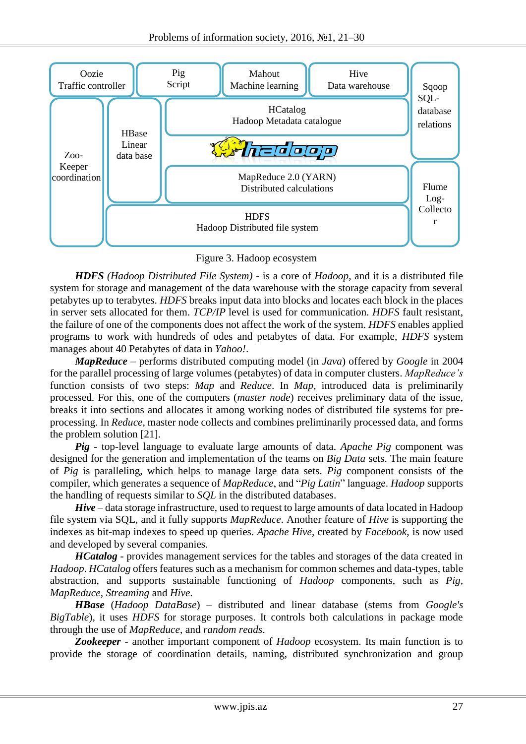

Figure 3. Hadoop ecosystem

*HDFS (Hadoop Distributed File System)* - is a core of *Hadoop*, and it is a distributed file system for storage and management of the data warehouse with the storage capacity from several petabytes up to terabytes. *HDFS* breaks input data into blocks and locates each block in the places in server sets allocated for them. *TCP/IP* level is used for communication. *HDFS* fault resistant, the failure of one of the components does not affect the work of the system. *HDFS* enables applied programs to work with hundreds of odes and petabytes of data. For example, *HDFS* system manages about 40 Petabytes of data in *Yahoo!*.

*MapReduce* – performs distributed computing model (in *Java*) offered by *Google* in 2004 for the parallel processing of large volumes (petabytes) of data in computer clusters. *MapReduce's* function consists of two steps: *Map* and *Reduce*. In *Map,* introduced data is preliminarily processed. For this, one of the computers (*master node*) receives preliminary data of the issue, breaks it into sections and allocates it among working nodes of distributed file systems for preprocessing. In *Reduce,* master node collects and combines preliminarily processed data, and forms the problem solution [21].

*Pig* - top-level language to evaluate large amounts of data. *Apache Pig* component was designed for the generation and implementation of the teams on *Big Data* sets. The main feature of *Pig* is paralleling, which helps to manage large data sets. *Pig* component consists of the compiler, which generates a sequence of *MapReduce*, and "*Pig Latin*" language. *Hadoop* supports the handling of requests similar to *SQL* in the distributed databases.

*Hive* – data storage infrastructure, used to request to large amounts of data located in Hadoop file system via SQL, and it fully supports *MapReduce*. Another feature of *Hive* is supporting the indexes as bit-map indexes to speed up queries. *Apache Hive,* created by *Facebook*, is now used and developed by several companies.

*HCatalog* - provides management services for the tables and storages of the data created in *Hadoop*. *HCatalog* offers features such as a mechanism for common schemes and data-types, table abstraction, and supports sustainable functioning of *Hadoop* components, such as *Pig, MapReduce, Streaming* and *Hive*.

*HBase* (*Hadoop DataBase*) – distributed and linear database (stems from *Google's BigTable*), it uses *HDFS* for storage purposes. It controls both calculations in package mode through the use of *MapReduce*, and *random reads*.

*Zookeeper* - another important component of *Hadoop* ecosystem. Its main function is to provide the storage of coordination details, naming, distributed synchronization and group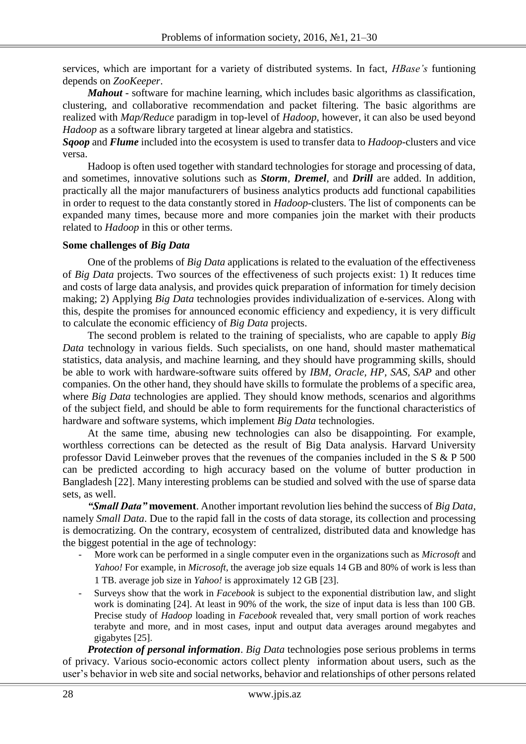services, which are important for a variety of distributed systems. In fact, *HBase's* funtioning depends on *ZooKeeper*.

*Mahout* - software for machine learning, which includes basic algorithms as classification, clustering, and collaborative recommendation and packet filtering. The basic algorithms are realized with *Map/Reduce* paradigm in top-level of *Hadoop*, however, it can also be used beyond *Hadoop* as a software library targeted at linear algebra and statistics.

*Sqoop* and *Flume* included into the ecosystem is used to transfer data to *Hadoop*-clusters and vice versa.

Hadoop is often used together with standard technologies for storage and processing of data, and sometimes, innovative solutions such as *Storm*, *Dremel*, and *Drill* are added. In addition, practically all the major manufacturers of business analytics products add functional capabilities in order to request to the data constantly stored in *Hadoop*-clusters. The list of components can be expanded many times, because more and more companies join the market with their products related to *Hadoop* in this or other terms.

#### **Some challenges of** *Big Data*

One of the problems of *Big Data* applications is related to the evaluation of the effectiveness of *Big Data* projects. Two sources of the effectiveness of such projects exist: 1) It reduces time and costs of large data analysis, and provides quick preparation of information for timely decision making; 2) Applying *Big Data* technologies provides individualization of e-services. Along with this, despite the promises for announced economic efficiency and expediency, it is very difficult to calculate the economic efficiency of *Big Data* projects.

The second problem is related to the training of specialists, who are capable to apply *Big Data* technology in various fields. Such specialists, on one hand, should master mathematical statistics, data analysis, and machine learning, and they should have programming skills, should be able to work with hardware-software suits offered by *IBM, Oracle, HP, SAS, SAP* and other companies. On the other hand, they should have skills to formulate the problems of a specific area, where *Big Data* technologies are applied. They should know methods, scenarios and algorithms of the subject field, and should be able to form requirements for the functional characteristics of hardware and software systems, which implement *Big Data* technologies.

At the same time, abusing new technologies can also be disappointing. For example, worthless corrections can be detected as the result of Big Data analysis. Harvard University professor David Leinweber proves that the revenues of the companies included in the S & P 500 can be predicted according to high accuracy based on the volume of butter production in Bangladesh [22]. Many interesting problems can be studied and solved with the use of sparse data sets, as well.

*"Small Data"* **movement**. Another important revolution lies behind the success of *Big Data,* namely *Small Data*. Due to the rapid fall in the costs of data storage, its collection and processing is democratizing. On the contrary, ecosystem of centralized, distributed data and knowledge has the biggest potential in the age of technology:

- More work can be performed in a single computer even in the organizations such as *Microsoft* and *Yahoo!* For example, in *Microsoft*, the average job size equals 14 GB and 80% of work is less than 1 TB. average job size in *Yahoo!* is approximately 12 GB [23].
- Surveys show that the work in *Facebook* is subject to the exponential distribution law, and slight work is dominating [24]. At least in 90% of the work, the size of input data is less than 100 GB. Precise study of *Hadoop* loading in *Facebook* revealed that, very small portion of work reaches terabyte and more, and in most cases, input and output data averages around megabytes and gigabytes [25].

*Protection of personal information*. *Big Data* technologies pose serious problems in terms of privacy. Various socio-economic actors collect plenty information about users, such as the user's behavior in web site and social networks, behavior and relationships of other persons related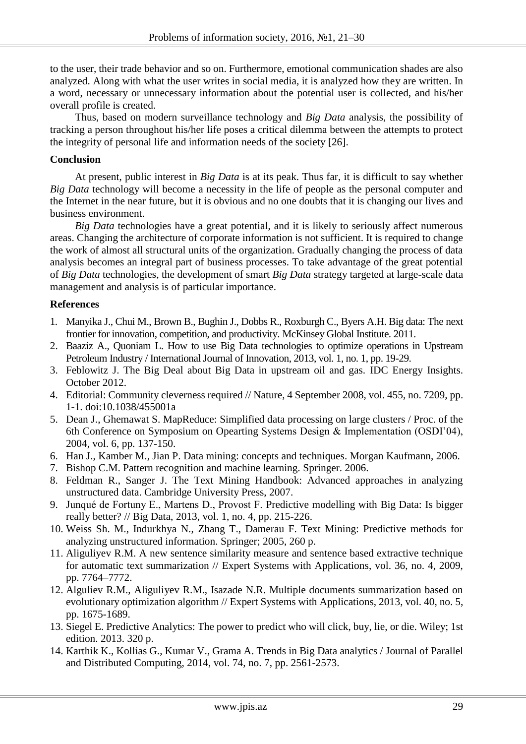to the user, their trade behavior and so on. Furthermore, emotional communication shades are also analyzed. Along with what the user writes in social media, it is analyzed how they are written. In a word, necessary or unnecessary information about the potential user is collected, and his/her overall profile is created.

Thus, based on modern surveillance technology and *Big Data* analysis, the possibility of tracking a person throughout his/her life poses a critical dilemma between the attempts to protect the integrity of personal life and information needs of the society [26].

### **Conclusion**

At present, public interest in *Big Data* is at its peak. Thus far, it is difficult to say whether *Big Data* technology will become a necessity in the life of people as the personal computer and the Internet in the near future, but it is obvious and no one doubts that it is changing our lives and business environment.

*Big Data* technologies have a great potential, and it is likely to seriously affect numerous areas. Changing the architecture of corporate information is not sufficient. It is required to change the work of almost all structural units of the organization. Gradually changing the process of data analysis becomes an integral part of business processes. To take advantage of the great potential of *Big Data* technologies, the development of smart *Big Data* strategy targeted at large-scale data management and analysis is of particular importance.

# **References**

- 1. Manyika J., Chui M., Brown B., Bughin J., Dobbs R., Roxburgh C., Byers A.H. Big data: The next frontier for innovation, competition, and productivity. McKinsey Global Institute. 2011.
- 2. Baaziz A., Quoniam L. How to use Big Data technologies to optimize operations in Upstream Petroleum Industry / International Journal of Innovation, 2013, vol. 1, no. 1, pp. 19-29.
- 3. Feblowitz J. The Big Deal about Big Data in upstream oil and gas. IDC Energy Insights. October 2012.
- 4. Editorial: Community cleverness required // Nature, 4 September 2008, vol. 455, no. 7209, pp. 1-1. doi:10.1038/455001a
- 5. Dean J., Ghemawat S. MapReduce: Simplified data processing on large clusters / Proc. of the 6th Conference on Symposium on Opearting Systems Design & Implementation (OSDI'04), 2004, vol. 6, pp. 137-150.
- 6. Han J., Kamber M., Jian P. Data mining: concepts and techniques. Morgan Kaufmann, 2006.
- 7. Bishop C.M. Pattern recognition and machine learning. Springer. 2006.
- 8. Feldman R., Sanger J. The Text Mining Handbook: Advanced approaches in analyzing unstructured data. Cambridge University Press, 2007.
- 9. Junqué de Fortuny E., Martens D., Provost F. [Predictive modelling with Big Data: Is bigger](http://www.academia.edu/4921961/Predictive_Modelling_with_Big_Data_Is_Bigger_Really_Better)  [really better?](http://www.academia.edu/4921961/Predictive_Modelling_with_Big_Data_Is_Bigger_Really_Better) // Big Data, 2013, vol. 1, no. 4, pp. 215-226.
- 10. Weiss Sh. M., Indurkhya N., Zhang T., Damerau F. Text Mining: Predictive methods for analyzing unstructured information. Springer; 2005, 260 p.
- 11. Aliguliyev R.M. A new sentence similarity measure and sentence based extractive technique for automatic text summarization // [Expert Systems with Applications,](http://www.sciencedirect.com/science/journal/09574174) vol. 36, no. 4, 2009, pp. 7764–7772.
- 12. Alguliev R.M., Aliguliyev R.M., Isazade N.R. Multiple documents summarization based on evolutionary optimization algorithm // Expert Systems with Applications, 2013, vol. 40, no. 5, pp. 1675-1689.
- 13. Siegel E. Predictive Analytics: The power to predict who will click, buy, lie, or die. Wiley; 1st edition. 2013. 320 p.
- 14. Karthik K., Kollias G., Kumar V., Grama A. Trends in Big Data analytics / [Journal of Parallel](http://www.informatik.uni-trier.de/~ley/db/journals/jpdc/jpdc74.html#KambatlaKKG14)  [and Distributed Computing, 2014, vol. 74,](http://www.informatik.uni-trier.de/~ley/db/journals/jpdc/jpdc74.html#KambatlaKKG14) no. 7, pp. 2561-2573.